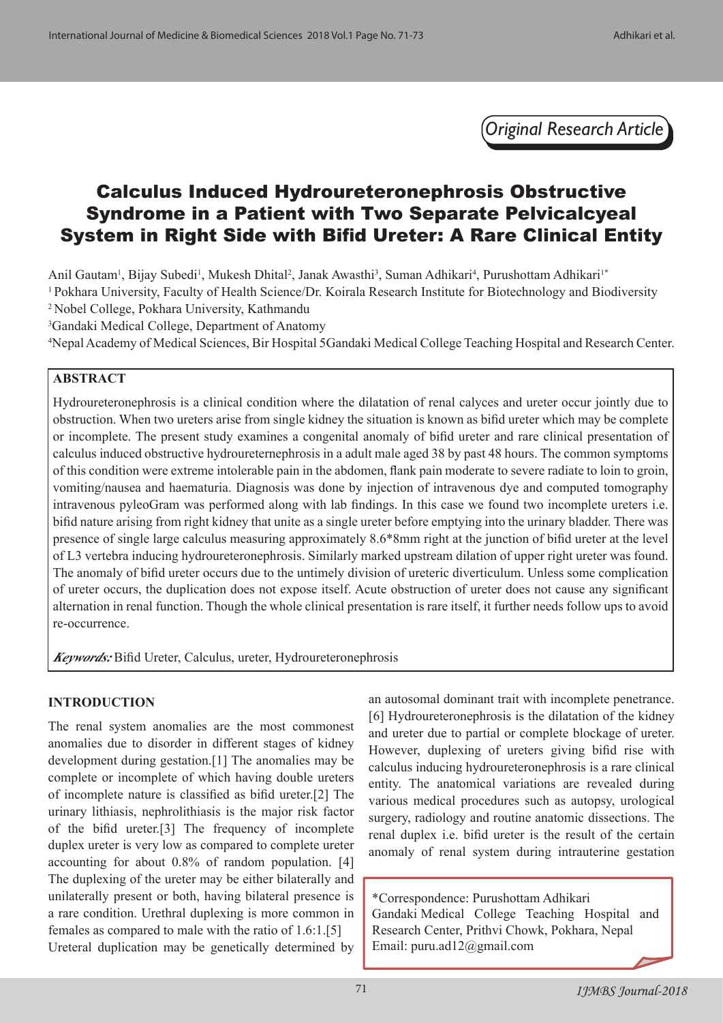*Original Research Article*

# Calculus Induced Hydroureteronephrosis Obstructive Syndrome in a Patient with Two Separate Pelvicalcyeal System in Right Side with Bifid Ureter: A Rare Clinical Entity

Anil Gautam<sup>1</sup>, Bijay Subedi<sup>1</sup>, Mukesh Dhital<sup>2</sup>, Janak Awasthi<sup>3</sup>, Suman Adhikari<sup>4</sup>, Purushottam Adhikari<sup>1\*</sup> <sup>1</sup> Pokhara University, Faculty of Health Science/Dr. Koirala Research Institute for Biotechnology and Biodiversity 2 Nobel College, Pokhara University, Kathmandu

3 Gandaki Medical College, Department of Anatomy

4 Nepal Academy of Medical Sciences, Bir Hospital 5Gandaki Medical College Teaching Hospital and Research Center.

#### **ABSTRACT**

Hydroureteronephrosis is a clinical condition where the dilatation of renal calyces and ureter occur jointly due to obstruction. When two ureters arise from single kidney the situation is known as bifid ureter which may be complete or incomplete. The present study examines a congenital anomaly of bifid ureter and rare clinical presentation of calculus induced obstructive hydroureternephrosis in a adult male aged 38 by past 48 hours. The common symptoms of this condition were extreme intolerable pain in the abdomen, flank pain moderate to severe radiate to loin to groin, vomiting/nausea and haematuria. Diagnosis was done by injection of intravenous dye and computed tomography intravenous pyleoGram was performed along with lab findings. In this case we found two incomplete ureters i.e. bifid nature arising from right kidney that unite as a single ureter before emptying into the urinary bladder. There was presence of single large calculus measuring approximately 8.6\*8mm right at the junction of bifid ureter at the level of L3 vertebra inducing hydroureteronephrosis. Similarly marked upstream dilation of upper right ureter was found. The anomaly of bifid ureter occurs due to the untimely division of ureteric diverticulum. Unless some complication of ureter occurs, the duplication does not expose itself. Acute obstruction of ureter does not cause any significant alternation in renal function. Though the whole clinical presentation is rare itself, it further needs follow ups to avoid re-occurrence.

*Keywords:* Bifid Ureter, Calculus, ureter, Hydroureteronephrosis

### **INTRODUCTION**

The renal system anomalies are the most commonest anomalies due to disorder in different stages of kidney development during gestation.[1] The anomalies may be complete or incomplete of which having double ureters of incomplete nature is classified as bifid ureter.[2] The urinary lithiasis, nephrolithiasis is the major risk factor of the bifid ureter.[3] The frequency of incomplete duplex ureter is very low as compared to complete ureter accounting for about 0.8% of random population. [4] The duplexing of the ureter may be either bilaterally and unilaterally present or both, having bilateral presence is a rare condition. Urethral duplexing is more common in females as compared to male with the ratio of 1.6:1.[5] Ureteral duplication may be genetically determined by an autosomal dominant trait with incomplete penetrance. [6] Hydroureteronephrosis is the dilatation of the kidney and ureter due to partial or complete blockage of ureter. However, duplexing of ureters giving bifid rise with calculus inducing hydroureteronephrosis is a rare clinical entity. The anatomical variations are revealed during various medical procedures such as autopsy, urological surgery, radiology and routine anatomic dissections. The renal duplex i.e. bifid ureter is the result of the certain anomaly of renal system during intrauterine gestation

\*Correspondence: Purushottam Adhikari Gandaki Medical College Teaching Hospital and Research Center, Prithvi Chowk, Pokhara, Nepal Email: puru.ad12@gmail.com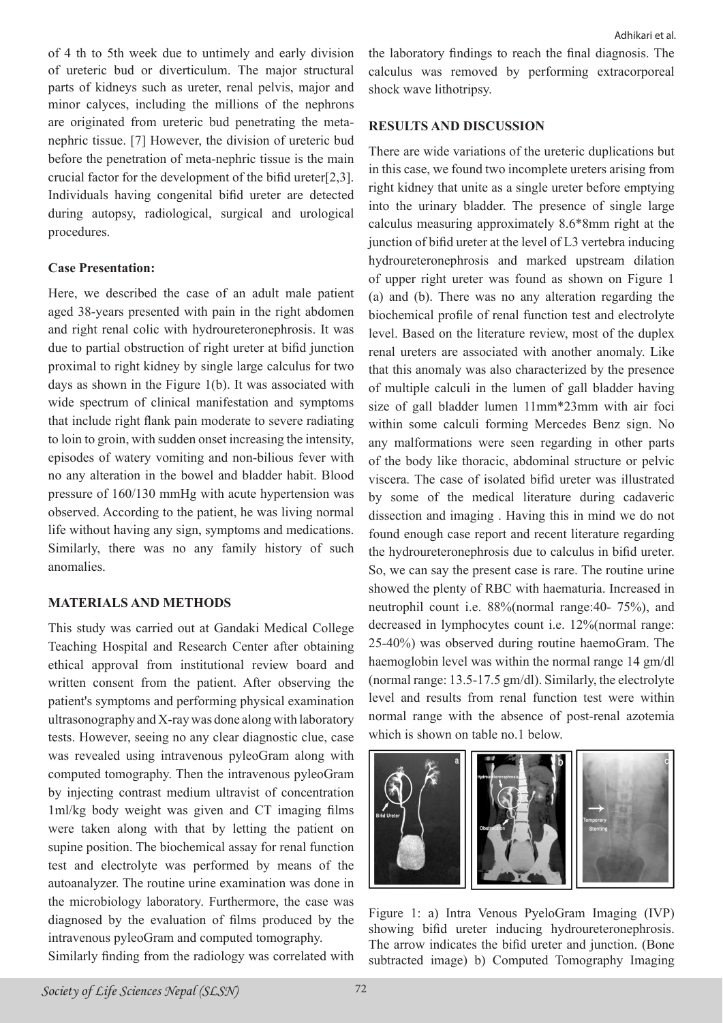of 4 th to 5th week due to untimely and early division of ureteric bud or diverticulum. The major structural parts of kidneys such as ureter, renal pelvis, major and minor calyces, including the millions of the nephrons are originated from ureteric bud penetrating the metanephric tissue. [7] However, the division of ureteric bud before the penetration of meta-nephric tissue is the main crucial factor for the development of the bifid ureter[2,3]. Individuals having congenital bifid ureter are detected during autopsy, radiological, surgical and urological procedures.

#### **Case Presentation:**

Here, we described the case of an adult male patient aged 38-years presented with pain in the right abdomen and right renal colic with hydroureteronephrosis. It was due to partial obstruction of right ureter at bifid junction proximal to right kidney by single large calculus for two days as shown in the Figure 1(b). It was associated with wide spectrum of clinical manifestation and symptoms that include right flank pain moderate to severe radiating to loin to groin, with sudden onset increasing the intensity, episodes of watery vomiting and non-bilious fever with no any alteration in the bowel and bladder habit. Blood pressure of 160/130 mmHg with acute hypertension was observed. According to the patient, he was living normal life without having any sign, symptoms and medications. Similarly, there was no any family history of such anomalies.

### **MATERIALS AND METHODS**

This study was carried out at Gandaki Medical College Teaching Hospital and Research Center after obtaining ethical approval from institutional review board and written consent from the patient. After observing the patient's symptoms and performing physical examination ultrasonography and X-ray was done along with laboratory tests. However, seeing no any clear diagnostic clue, case was revealed using intravenous pyleoGram along with computed tomography. Then the intravenous pyleoGram by injecting contrast medium ultravist of concentration 1ml/kg body weight was given and CT imaging films were taken along with that by letting the patient on supine position. The biochemical assay for renal function test and electrolyte was performed by means of the autoanalyzer. The routine urine examination was done in the microbiology laboratory. Furthermore, the case was diagnosed by the evaluation of films produced by the intravenous pyleoGram and computed tomography.

the laboratory findings to reach the final diagnosis. The calculus was removed by performing extracorporeal shock wave lithotripsy.

## **RESULTS AND DISCUSSION**

There are wide variations of the ureteric duplications but in this case, we found two incomplete ureters arising from right kidney that unite as a single ureter before emptying into the urinary bladder. The presence of single large calculus measuring approximately 8.6\*8mm right at the junction of bifid ureter at the level of L3 vertebra inducing hydroureteronephrosis and marked upstream dilation of upper right ureter was found as shown on Figure 1 (a) and (b). There was no any alteration regarding the biochemical profile of renal function test and electrolyte level. Based on the literature review, most of the duplex renal ureters are associated with another anomaly. Like that this anomaly was also characterized by the presence of multiple calculi in the lumen of gall bladder having size of gall bladder lumen 11mm\*23mm with air foci within some calculi forming Mercedes Benz sign. No any malformations were seen regarding in other parts of the body like thoracic, abdominal structure or pelvic viscera. The case of isolated bifid ureter was illustrated by some of the medical literature during cadaveric dissection and imaging . Having this in mind we do not found enough case report and recent literature regarding the hydroureteronephrosis due to calculus in bifid ureter. So, we can say the present case is rare. The routine urine showed the plenty of RBC with haematuria. Increased in neutrophil count i.e. 88%(normal range:40- 75%), and decreased in lymphocytes count i.e. 12%(normal range: 25-40%) was observed during routine haemoGram. The haemoglobin level was within the normal range 14 gm/dl (normal range: 13.5-17.5 gm/dl). Similarly, the electrolyte level and results from renal function test were within normal range with the absence of post-renal azotemia which is shown on table no.1 below.



Figure 1: a) Intra Venous PyeloGram Imaging (IVP) showing bifid ureter inducing hydroureteronephrosis. The arrow indicates the bifid ureter and junction. (Bone subtracted image) b) Computed Tomography Imaging